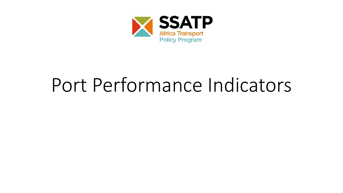

### Port Performance Indicators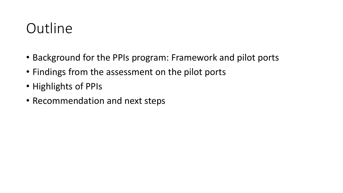### **Outline**

- Background for the PPIs program: Framework and pilot ports
- Findings from the assessment on the pilot ports
- Highlights of PPIs
- Recommendation and next steps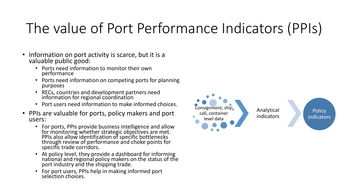### The value of Port Performance Indicators (PPIs)

- Information on port activity is scarce, but it is a valuable public good:
	- Ports need information to monitor their own performance
	- Ports need information on competing ports for planning purposes
	- RECs, countries and development partners need information for regional coordination
	- Port users need information to make informed choices.
- PPIs are valuable for ports, policy makers and port users:
	- For ports, PPIs provide business intelligence and allow for monitoring whether strategic objectives are met. PPIs also allow identification of specific bottlenecks through review of performance and choke points for specific trade corridors.
	- At policy level, they provide a dashboard for informing national and regional policy makers on the status of the port industry and the shipping trade.
	- For port users, PPIs help in making informed port selection choices.

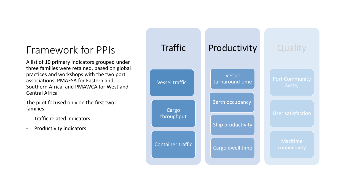#### Framework for PPIs Traffic

A list of 10 primary indicators grouped under three families were retained, based on global practices and workshops with the two port associations, PMAESA for Eastern and Southern Africa, and PMAWCA for West and Central Africa

The pilot focused only on the first two families:

- Traffic related indicators
- Productivity indicators

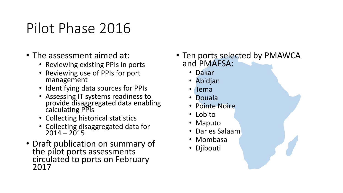### Pilot Phase 2016

- The assessment aimed at:
	- Reviewing existing PPIs in ports
	- Reviewing use of PPIs for port management
	- Identifying data sources for PPIs
	- Assessing IT systems readiness to provide disaggregated data enabling calculating PPIs
	- Collecting historical statistics
	- Collecting disaggregated data for  $2014 - 2015$
- Draft publication on summary of the pilot ports assessments circulated to ports on February 2017
- Ten ports selected by PMAWCA and PMAESA:
	- Dakar
	- Abidjan
	- Tema
	- Douala
	- Pointe Noire
	- Lobito
	- Maputo
	- Dar es Salaam
	- Mombasa
	- Djibouti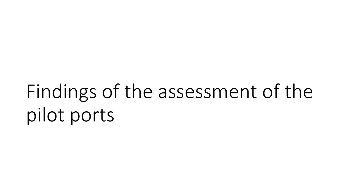Findings of the assessment of the pilot ports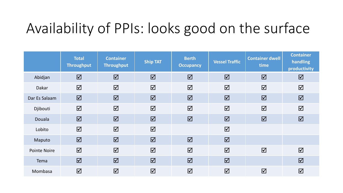### Availability of PPIs: looks good on the surface

|                     | <b>Total</b><br><b>Throughput</b> | <b>Container</b><br><b>Throughput</b> | <b>Ship TAT</b>         | <b>Berth</b><br><b>Occupancy</b> | <b>Vessel Traffic</b>   | <b>Container dwell</b><br>time | <b>Container</b><br>handling<br>productivity |
|---------------------|-----------------------------------|---------------------------------------|-------------------------|----------------------------------|-------------------------|--------------------------------|----------------------------------------------|
| Abidjan             | $\boxed{\mathbf{Z}}$              | $\overline{\mathbf{M}}$               | $\overline{\mathbf{M}}$ | $\Delta$                         | $\overline{\mathbf{M}}$ | $\overline{\mathbf{M}}$        | $\Delta$                                     |
| Dakar               | $\Delta$                          | $\overline{\mathbf{M}}$               | $\Delta$                | $\Delta$                         | $\Delta$                | $\Delta$                       | $\Delta$                                     |
| Dar Es Salaam       | $\Delta$                          | $\overline{\mathbf{M}}$               | $\boxed{\mathbf{N}}$    | $\boxed{\mathbf{Z}}$             | $\overline{\mathbf{M}}$ | $\overline{\mathbf{M}}$        | $\Delta$                                     |
| Djibouti            | $\Delta$                          | $\overline{\mathbf{M}}$               | $\Delta$                | $\Delta$                         | $\Delta$                | $\overline{\mathbf{M}}$        | $\Delta$                                     |
| Douala              | $\Delta$                          | $\overline{\mathbf{M}}$               | $\overline{\mathbf{M}}$ | $\boxed{\mathbf{Z}}$             | $\overline{\mathbf{M}}$ | $\boxed{\mathbf{Z}}$           | $\Delta$                                     |
| Lobito              | $\Delta$                          | $\overline{\mathbf{M}}$               | $\Delta$                |                                  | $\Delta$                |                                |                                              |
| Maputo              | $\Delta$                          | $\overline{\mathbf{M}}$               | $\overline{\mathbf{M}}$ | $\Delta$                         | $\overline{\mathbf{M}}$ |                                |                                              |
| <b>Pointe Noire</b> | $\Delta$                          | $\overline{\mathbf{M}}$               | $\Delta$                | $\Delta$                         | $\overline{\mathbf{M}}$ | $\Delta$                       | $\Delta$                                     |
| Tema                | $\boxed{\mathbf{Z}}$              | $\overline{\mathbf{M}}$               | $\overline{\mathbf{z}}$ | $\Delta$                         | $\overline{\mathbf{M}}$ |                                | $\boxed{\mathbf{N}}$                         |
| Mombasa             | $\Delta$                          | $\Delta$                              | $\overline{\mathbf{M}}$ | $\Delta$                         | $\Delta$                | $\Delta$                       | $\Delta$                                     |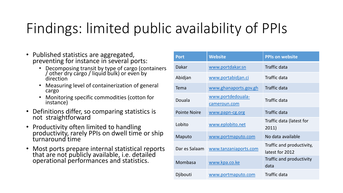### Findings: limited public availability of PPIs

- Published statistics are aggregated, preventing for instance in several ports:
	- Decomposing transit by type of cargo (containers / other dry cargo / liquid bulk) or even by direction
	- Measuring level of containerization of general cargo
	- Monitoring specific commodities (cotton for instance)
- Definitions differ, so comparing statistics is not straightforward
- Productivity often limited to handling productivity, rarely PPIs on dwell time or ship turnaround time
- Most ports prepare internal statistical reports that are not publicly available, i.e. detailed operational performances and statistics.

| <b>Port</b>         | <b>Website</b>                    | <b>PPIs on website</b>                       |
|---------------------|-----------------------------------|----------------------------------------------|
| <b>Dakar</b>        | www.portdakar.sn                  | <b>Traffic data</b>                          |
| Abidjan             | www.portabidjan.ci                | Traffic data                                 |
| Tema                | www.ghanaports.gov.gh             | <b>Traffic data</b>                          |
| Douala              | www.portdedouala-<br>cameroun.com | <b>Traffic data</b>                          |
| <b>Pointe Noire</b> | www.papn-cg.org                   | Traffic data                                 |
| Lobito              | www.eplobito.net                  | Traffic data (latest for<br>2011)            |
| Maputo              | www.portmaputo.com                | No data available                            |
| Dar es Salaam       | www.tanzaniaports.com             | Traffic and productivity,<br>latest for 2012 |
| Mombasa             | www.kpa.co.ke                     | Traffic and productivity<br>data             |
| Djibouti            | www.portmaputo.com                | Traffic data                                 |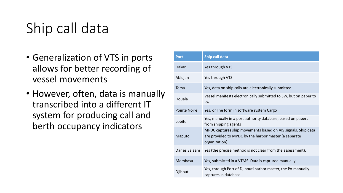### Ship call data

- Generalization of VTS in ports allows for better recording of vessel movements
- However, often, data is manually transcribed into a different IT system for producing call and berth occupancy indicators

| <b>Port</b>         | Ship call data                                                                                                                          |
|---------------------|-----------------------------------------------------------------------------------------------------------------------------------------|
| Dakar               | Yes through VTS.                                                                                                                        |
| Abidjan             | Yes through VTS                                                                                                                         |
| Tema                | Yes, data on ship calls are electronically submitted.                                                                                   |
| Douala              | Vessel manifests electronically submitted to SW, but on paper to<br><b>PA</b>                                                           |
| <b>Pointe Noire</b> | Yes, online form in software system Cargo                                                                                               |
| Lobito              | Yes, manually in a port authority database, based on papers<br>from shipping agents                                                     |
| Maputo              | MPDC captures ship movements based on AIS signals. Ship data<br>are provided to MPDC by the harbor master (a separate<br>organization). |
| Dar es Salaam       | Yes (the precise method is not clear from the assessment).                                                                              |
| Mombasa             | Yes, submitted in a VTMS. Data is captured manually.                                                                                    |
| Djibouti            | Yes, through Port of Djibouti harbor master, the PA manually<br>captures in database.                                                   |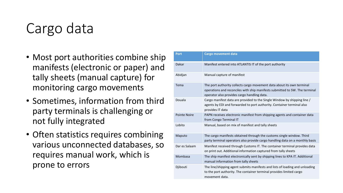### Cargo data

- Most port authorities combine ship manifests (electronic or paper) and tally sheets (manual capture) for monitoring cargo movements
- Sometimes, information from third party terminals is challenging or not fully integrated
- Often statistics requires combining various unconnected databases, so requires manual work, which is prone to errors

| <b>Port</b>         | <b>Cargo movement data</b>                                                                                                                                                                           |
|---------------------|------------------------------------------------------------------------------------------------------------------------------------------------------------------------------------------------------|
| Dakar               | Manifest entered into ATLANTIS IT of the port authority                                                                                                                                              |
| Abidjan             | Manual capture of manifest                                                                                                                                                                           |
| Tema                | The port authority collects cargo movement data about its own terminal<br>operations and reconciles with ship manifests submitted to SW. The terminal<br>operator also provides cargo handling data. |
| Douala              | Cargo manifest data are provided to the Single Window by shipping line /<br>agents by EDI and forwarded to port authority. Container terminal also<br>provides IT data                               |
| <b>Pointe Noire</b> | PAPN receives electronic manifest from shipping agents and container data<br>from Congo Terminal IT                                                                                                  |
| Lobito              | Manual, based on mix of manifest and tally sheets                                                                                                                                                    |
| Maputo              | The cargo manifests obtained through the customs single window. Third<br>party terminal operators also provide cargo handling data on a monthly basis                                                |
| Dar es Salaam       | Manifest received through Customs IT. The container terminal provides data<br>on print out. Additional information captured from tally sheets                                                        |
| Mombasa             | The ship manifest electronically sent by shipping lines to KPA IT. Additional<br>manual information from tally sheets                                                                                |
| Djibouti            | The line/shipping agent submits manifests and lists of loading and unloading<br>to the port authority. The container terminal provides limited cargo<br>movement data.                               |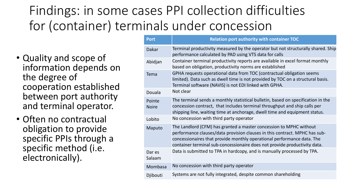### Findings: in some cases PPI collection difficulties for (container) terminals under concession

- Quality and scope of information depends on the degree of cooperation established between port authority and terminal operator.
- Often no contractual obligation to provide specific PPIs through a specific method (i.e. electronically).

| <b>Port</b>            | <b>Relation port authority with container TOC</b>                                                                                                                                                                                                                                                       |
|------------------------|---------------------------------------------------------------------------------------------------------------------------------------------------------------------------------------------------------------------------------------------------------------------------------------------------------|
| <b>Dakar</b>           | Terminal productivity measured by the operator but not structurally shared. Ship<br>performance calculated by PAD using VTS data for calls                                                                                                                                                              |
| Abidjan                | Container terminal productivity reports are available in excel format monthly<br>based on obligation, productivity norms are established                                                                                                                                                                |
| Tema                   | GPHA requests operational data from TOC (contractual obligation seems<br>limited). Data such as dwell time is not provided by TOC on a structural basis.<br>Terminal software (NAVIS) is not EDI linked with GPHA.                                                                                      |
| Douala                 | Not clear                                                                                                                                                                                                                                                                                               |
| Pointe<br><b>Noire</b> | The terminal sends a monthly statistical bulletin, based on specification in the<br>concession contract, that includes terminal throughput and ship calls per<br>shipping line, waiting time at anchorage, dwell time and equipment status.                                                             |
| Lobito                 | No concession with third party operator                                                                                                                                                                                                                                                                 |
| Maputo                 | The Landlord (CFM) has granted a master concession to MPHC without<br>performance clauses/data provision clauses in this contract. MPHC has sub-<br>concessionaires that provide monthly operational performance data. The<br>container terminal sub-concessionaire does not provide productivity data. |
| Dar es<br>Salaam       | Data is submitted to TPA in hardcopy, and is manually processed by TPA.                                                                                                                                                                                                                                 |
| Mombasa                | No concession with third party operator                                                                                                                                                                                                                                                                 |
| Djibouti               | Systems are not fully integrated, despite common shareholding                                                                                                                                                                                                                                           |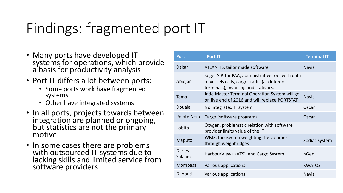### Findings: fragmented port IT

- Many ports have developed IT systems for operations, which provide a basis for productivity analysis
- Port IT differs a lot between ports:
	- Some ports work have fragmented systems
	- Other have integrated systems
- In all ports, projects towards between integration are planned or ongoing, but statistics are not the primary motive
- In some cases there are problems with outsourced IT systems due to lacking skills and limited service from software providers.

| <b>Port</b>      | Port IT                                                                                                                                     | <b>Terminal IT</b> |
|------------------|---------------------------------------------------------------------------------------------------------------------------------------------|--------------------|
| <b>Dakar</b>     | ATLANTIS, tailor made software                                                                                                              | <b>Navis</b>       |
| Abidjan          | Soget SIP, for PAA, administrative tool with data<br>of vessels calls, cargo traffic (at different<br>terminals), invoicing and statistics. |                    |
| Tema             | Jade Master Terminal Operation System will go<br>on live end of 2016 and will replace PORTSTAT                                              | <b>Navis</b>       |
| Douala           | No integrated IT system                                                                                                                     | Oscar              |
|                  | Pointe Noire Cargo (software program)                                                                                                       | Oscar              |
| Lobito           | Oxygen, problematic relation with software<br>provider limits value of the IT                                                               |                    |
| Maputo           | WMS, focused on weighting the volumes<br>through weighbridges                                                                               | Zodiac system      |
| Dar es<br>Salaam | HarbourView+ (VTS) and Cargo System                                                                                                         | nGen               |
| Mombasa          | Various applications                                                                                                                        | <b>KWATOS</b>      |
| Djibouti         | Various applications                                                                                                                        | <b>Navis</b>       |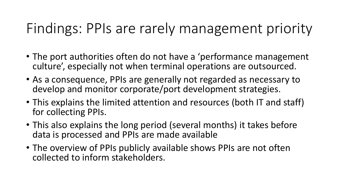### Findings: PPIs are rarely management priority

- The port authorities often do not have a 'performance management culture', especially not when terminal operations are outsourced.
- As a consequence, PPIs are generally not regarded as necessary to develop and monitor corporate/port development strategies.
- This explains the limited attention and resources (both IT and staff) for collecting PPIs.
- This also explains the long period (several months) it takes before data is processed and PPIs are made available
- The overview of PPIs publicly available shows PPIs are not often collected to inform stakeholders.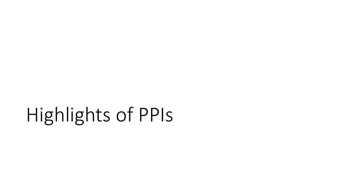# Highlights of PPIs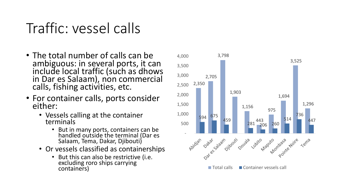### Traffic: vessel calls

- The total number of calls can be ambiguous: in several ports, it can include local traffic (such as dhows in Dar es Salaam), non commercial calls, fishing activities, etc.
- For container calls, ports consider either:
	- Vessels calling at the container terminals
		- But in many ports, containers can be handled outside the terminal (Dar es Salaam, Tema, Dakar, Djibouti)
	- Or vessels classified as containerships
		- But this can also be restrictive (i.e. excluding roro ships carrying containers)

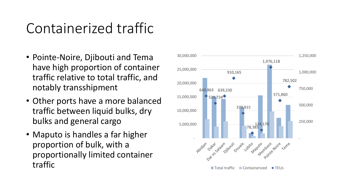### Containerized traffic

- Pointe-Noire, Djibouti and Tema have high proportion of container traffic relative to total traffic, and notably transshipment
- Other ports have a more balanced traffic between liquid bulks, dry bulks and general cargo
- Maputo is handles a far higher proportion of bulk, with a proportionally limited container traffic

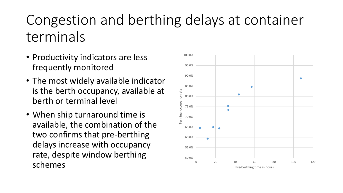### Congestion and berthing delays at container terminals

- Productivity indicators are less frequently monitored
- The most widely available indicator is the berth occupancy, available at berth or terminal level
- When ship turnaround time is available, the combination of the two confirms that pre-berthing delays increase with occupancy rate, despite window berthing schemes

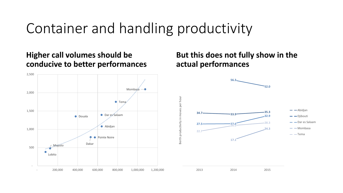### Container and handling productivity

#### **Higher call volumes should be conducive to better performances**



#### **But this does not fully show in the actual performances**

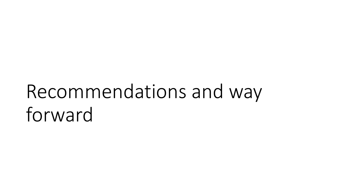## Recommendations and way forward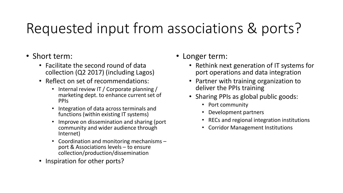### Requested input from associations & ports?

- Short term:
	- Facilitate the second round of data collection (Q2 2017) (including Lagos)
	- Reflect on set of recommendations:
		- Internal review IT / Corporate planning / marketing dept. to enhance current set of PPIs
		- Integration of data across terminals and functions (within existing IT systems)
		- Improve on dissemination and sharing (port community and wider audience through Internet)
		- Coordination and monitoring mechanisms port & Associations levels – to ensure collection/production/dissemination
	- Inspiration for other ports?
- Longer term:
	- Rethink next generation of IT systems for port operations and data integration
	- Partner with training organization to deliver the PPIs training
	- Sharing PPIs as global public goods:
		- Port community
		- Development partners
		- RECs and regional integration institutions
		- Corridor Management Institutions